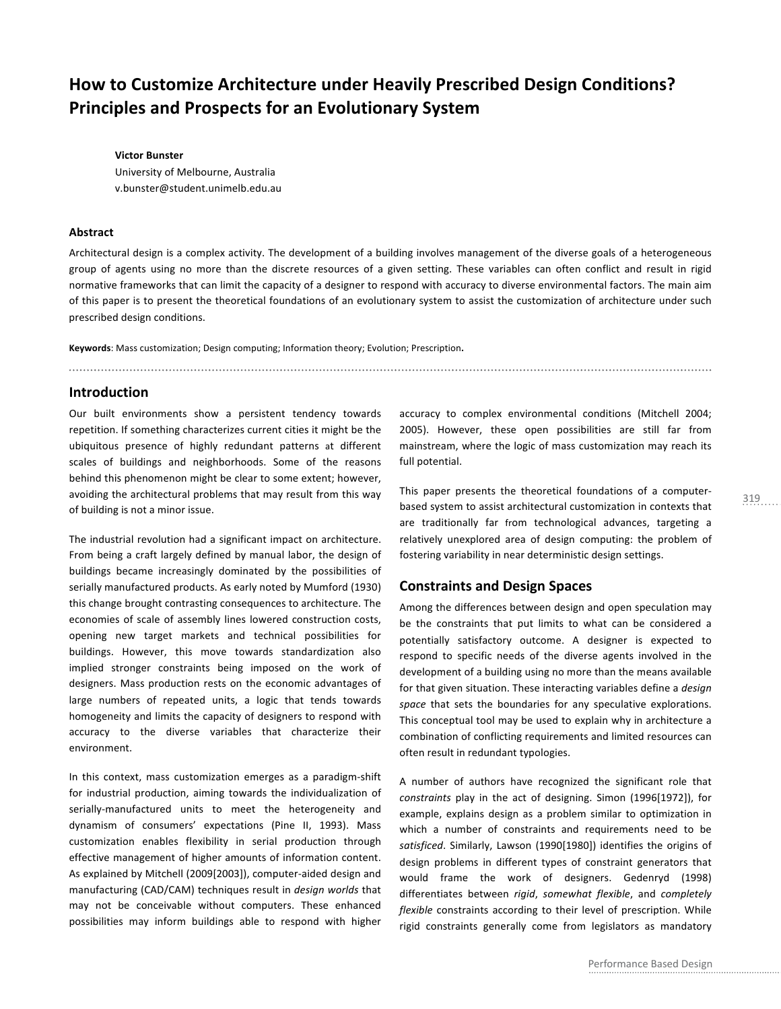# **How to Customize Architecture under Heavily Prescribed Design Conditions? Principles and Prospects for an Evolutionary System**

**Victor Bunster** University of Melbourne, Australia v.bunster@student.unimelb.edu.au

## **Abstract**

Architectural design is a complex activity. The development of a building involves management of the diverse goals of a heterogeneous group of agents using no more than the discrete resources of a given setting. These variables can often conflict and result in rigid normative frameworks that can limit the capacity of a designer to respond with accuracy to diverse environmental factors. The main aim of this paper is to present the theoretical foundations of an evolutionary system to assist the customization of architecture under such prescribed design conditions.

Keywords: Mass customization; Design computing; Information theory; Evolution; Prescription.

# **Introduction**

Our built environments show a persistent tendency towards repetition. If something characterizes current cities it might be the ubiquitous presence of highly redundant patterns at different scales of buildings and neighborhoods. Some of the reasons behind this phenomenon might be clear to some extent; however, avoiding the architectural problems that may result from this way of building is not a minor issue.

The industrial revolution had a significant impact on architecture. From being a craft largely defined by manual labor, the design of buildings became increasingly dominated by the possibilities of serially manufactured products. As early noted by Mumford (1930) this change brought contrasting consequences to architecture. The economies of scale of assembly lines lowered construction costs, opening new target markets and technical possibilities for buildings. However, this move towards standardization also implied stronger constraints being imposed on the work of designers. Mass production rests on the economic advantages of large numbers of repeated units, a logic that tends towards homogeneity and limits the capacity of designers to respond with accuracy to the diverse variables that characterize their environment.

In this context, mass customization emerges as a paradigm-shift for industrial production, aiming towards the individualization of serially-manufactured units to meet the heterogeneity and dynamism of consumers' expectations (Pine II, 1993). Mass customization enables flexibility in serial production through effective management of higher amounts of information content. As explained by Mitchell (2009[2003]), computer-aided design and manufacturing (CAD/CAM) techniques result in *design worlds* that may not be conceivable without computers. These enhanced possibilities may inform buildings able to respond with higher accuracy to complex environmental conditions (Mitchell 2004; 2005). However, these open possibilities are still far from mainstream, where the logic of mass customization may reach its full potential.

This paper presents the theoretical foundations of a computerbased system to assist architectural customization in contexts that are traditionally far from technological advances, targeting a relatively unexplored area of design computing: the problem of fostering variability in near deterministic design settings.

# **Constraints and Design Spaces**

Among the differences between design and open speculation may be the constraints that put limits to what can be considered a potentially satisfactory outcome. A designer is expected to respond to specific needs of the diverse agents involved in the development of a building using no more than the means available for that given situation. These interacting variables define a *design* space that sets the boundaries for any speculative explorations. This conceptual tool may be used to explain why in architecture a combination of conflicting requirements and limited resources can often result in redundant typologies.

A number of authors have recognized the significant role that constraints play in the act of designing. Simon (1996[1972]), for example, explains design as a problem similar to optimization in which a number of constraints and requirements need to be satisficed. Similarly, Lawson (1990[1980]) identifies the origins of design problems in different types of constraint generators that would frame the work of designers. Gedenryd (1998) differentiates between rigid, somewhat flexible, and completely flexible constraints according to their level of prescription. While rigid constraints generally come from legislators as mandatory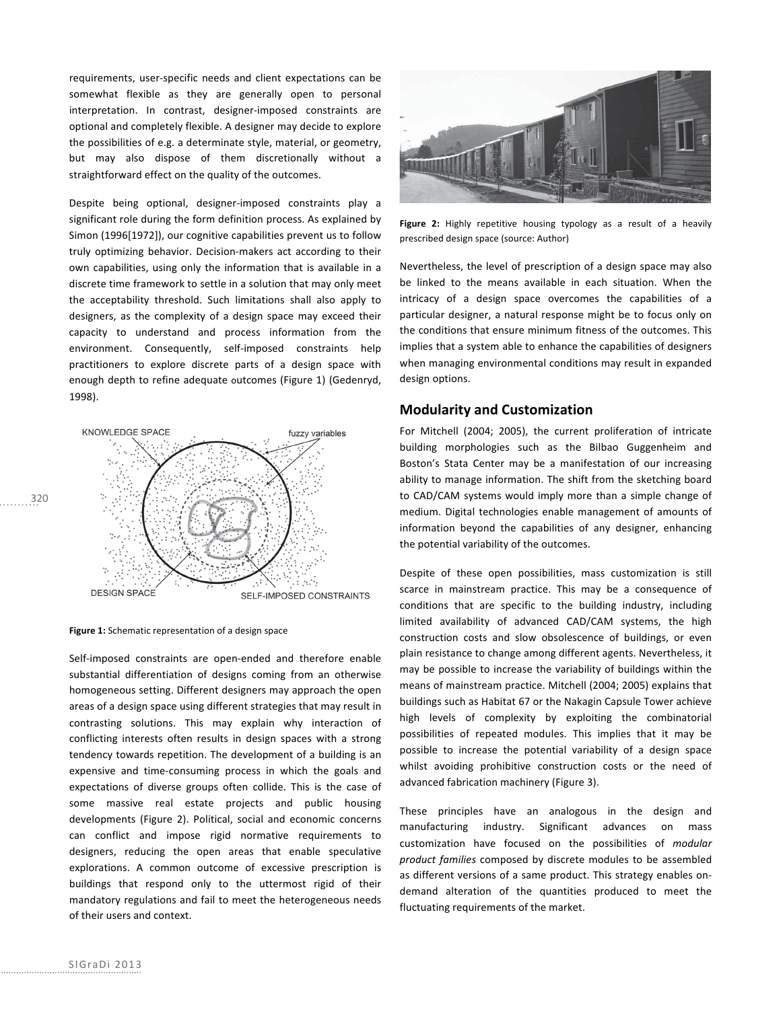requirements, user-specific needs and client expectations can be somewhat flexible as they are generally open to personal interpretation. In contrast, designer-imposed constraints are optional and completely flexible. A designer may decide to explore the possibilities of e.g. a determinate style, material, or geometry, but may also dispose of them discretionally without a straightforward effect on the quality of the outcomes.

Despite being optional, designer-imposed constraints play a significant role during the form definition process. As explained by Simon (1996[1972]), our cognitive capabilities prevent us to follow truly optimizing behavior. Decision-makers act according to their own capabilities, using only the information that is available in a discrete time framework to settle in a solution that may only meet the acceptability threshold. Such limitations shall also apply to designers, as the complexity of a design space may exceed their capacity to understand and process information from the environment. Consequently, self-imposed constraints help practitioners to explore discrete parts of a design space with enough depth to refine adequate outcomes (Figure 1) (Gedenryd, 1998).



Figure 1: Schematic representation of a design space

Self-imposed constraints are open-ended and therefore enable substantial differentiation of designs coming from an otherwise homogeneous setting. Different designers may approach the open areas of a design space using different strategies that may result in contrasting solutions. This may explain why interaction of conflicting interests often results in design spaces with a strong tendency towards repetition. The development of a building is an expensive and time-consuming process in which the goals and expectations of diverse groups often collide. This is the case of some massive real estate projects and public housing developments (Figure 2). Political, social and economic concerns can conflict and impose rigid normative requirements to designers, reducing the open areas that enable speculative explorations. A common outcome of excessive prescription is buildings that respond only to the uttermost rigid of their mandatory regulations and fail to meet the heterogeneous needs of their users and context.



Figure 2: Highly repetitive housing typology as a result of a heavily prescribed design space (source: Author)

Nevertheless, the level of prescription of a design space may also be linked to the means available in each situation. When the intricacy of a design space overcomes the capabilities of a particular designer, a natural response might be to focus only on the conditions that ensure minimum fitness of the outcomes. This implies that a system able to enhance the capabilities of designers when managing environmental conditions may result in expanded design options.

## **Modularity and Customization**

For Mitchell (2004; 2005), the current proliferation of intricate building morphologies such as the Bilbao Guggenheim and Boston's Stata Center may be a manifestation of our increasing ability to manage information. The shift from the sketching board to CAD/CAM systems would imply more than a simple change of medium. Digital technologies enable management of amounts of information beyond the capabilities of any designer, enhancing the potential variability of the outcomes.

Despite of these open possibilities, mass customization is still scarce in mainstream practice. This may be a consequence of conditions that are specific to the building industry, including limited availability of advanced CAD/CAM systems, the high construction costs and slow obsolescence of buildings, or even plain resistance to change among different agents. Nevertheless, it may be possible to increase the variability of buildings within the means of mainstream practice. Mitchell (2004; 2005) explains that buildings such as Habitat 67 or the Nakagin Capsule Tower achieve high levels of complexity by exploiting the combinatorial possibilities of repeated modules. This implies that it may be possible to increase the potential variability of a design space whilst avoiding prohibitive construction costs or the need of advanced fabrication machinery (Figure 3).

These principles have an analogous in the design and manufacturing industry. Significant advances on mass customization have focused on the possibilities of *modular* product families composed by discrete modules to be assembled as different versions of a same product. This strategy enables ondemand alteration of the quantities produced to meet the fluctuating requirements of the market.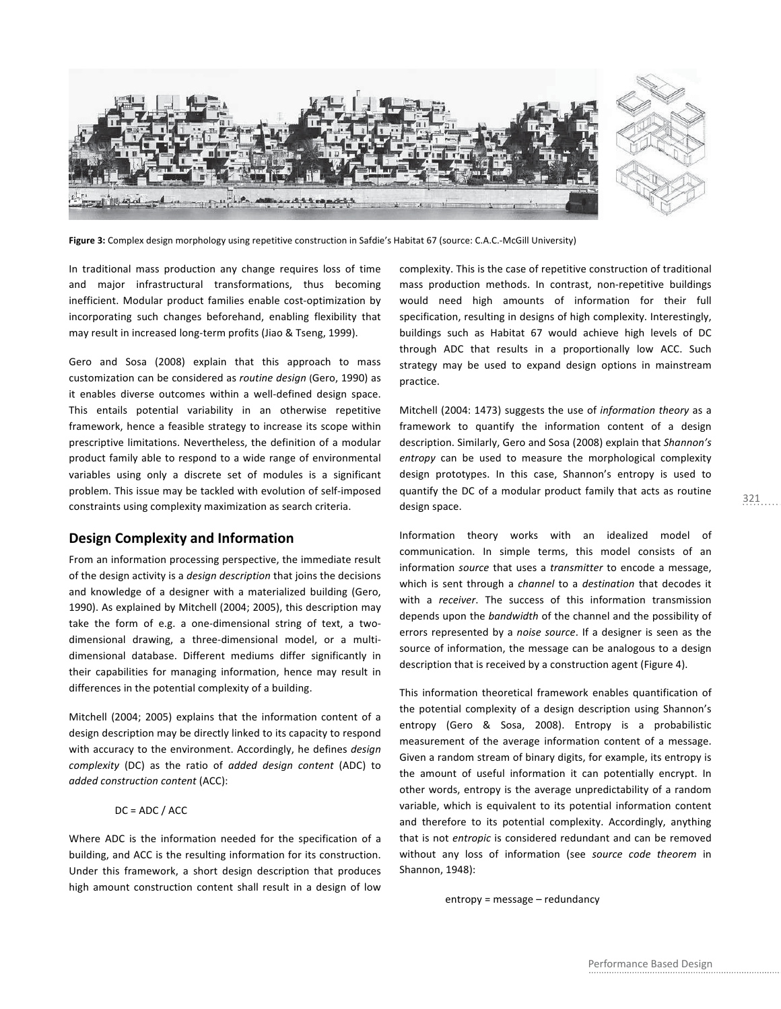

Figure 3: Complex design morphology using repetitive construction in Safdie's Habitat 67 (source: C.A.C.-McGill University)

In traditional mass production any change requires loss of time and major infrastructural transformations, thus becoming inefficient. Modular product families enable cost-optimization by incorporating such changes beforehand, enabling flexibility that may result in increased long-term profits (Jiao & Tseng, 1999).

Gero and Sosa (2008) explain that this approach to mass customization can be considered as *routine design* (Gero, 1990) as it enables diverse outcomes within a well-defined design space. This entails potential variability in an otherwise repetitive framework, hence a feasible strategy to increase its scope within prescriptive limitations. Nevertheless, the definition of a modular product family able to respond to a wide range of environmental variables using only a discrete set of modules is a significant problem. This issue may be tackled with evolution of self-imposed constraints using complexity maximization as search criteria.

# **Design Complexity and Information**

From an information processing perspective, the immediate result of the design activity is a *design description* that joins the decisions and knowledge of a designer with a materialized building (Gero, 1990). As explained by Mitchell (2004; 2005), this description may take the form of e.g. a one-dimensional string of text, a twodimensional drawing, a three-dimensional model, or a multidimensional database. Different mediums differ significantly in their capabilities for managing information, hence may result in differences in the potential complexity of a building.

Mitchell (2004; 2005) explains that the information content of a design description may be directly linked to its capacity to respond with accuracy to the environment. Accordingly, he defines design *complexity* (DC) as the ratio of *added design content* (ADC) to *added 
construction 
content* (ACC):

### $DC = ADC / ACC$

Where ADC is the information needed for the specification of a building, and ACC is the resulting information for its construction. Under this framework, a short design description that produces high amount construction content shall result in a design of low

complexity. This is the case of repetitive construction of traditional mass production methods. In contrast, non-repetitive buildings would need high amounts of information for their full specification, resulting in designs of high complexity. Interestingly, buildings such as Habitat 67 would achieve high levels of DC through ADC that results in a proportionally low ACC. Such strategy may be used to expand design options in mainstream practice.

Mitchell (2004: 1473) suggests the use of *information theory* as a framework to quantify the information content of a design description. Similarly, Gero and Sosa (2008) explain that Shannon's entropy can be used to measure the morphological complexity design prototypes. In this case, Shannon's entropy is used to quantify the DC of a modular product family that acts as routine design space.

Information theory works with an idealized model of communication. In simple terms, this model consists of an information source that uses a transmitter to encode a message, which is sent through a channel to a destination that decodes it with a receiver. The success of this information transmission depends upon the bandwidth of the channel and the possibility of errors represented by a noise source. If a designer is seen as the source of information, the message can be analogous to a design description that is received by a construction agent (Figure 4).

This information theoretical framework enables quantification of the potential complexity of a design description using Shannon's entropy (Gero & Sosa, 2008). Entropy is a probabilistic measurement of the average information content of a message. Given a random stream of binary digits, for example, its entropy is the amount of useful information it can potentially encrypt. In other words, entropy is the average unpredictability of a random variable, which is equivalent to its potential information content and therefore to its potential complexity. Accordingly, anything that is not *entropic* is considered redundant and can be removed without any loss of information (see source code theorem in Shannon, 1948):

 $entropy = message - redundancy$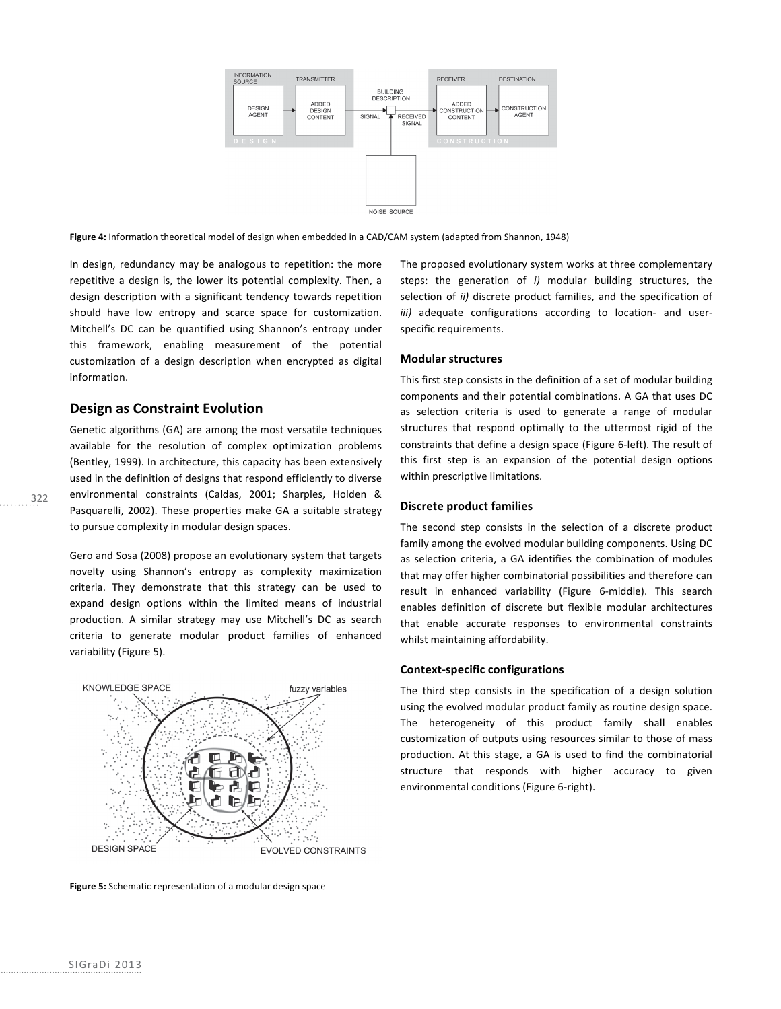

Figure 4: Information theoretical model of design when embedded in a CAD/CAM system (adapted from Shannon, 1948)

In design, redundancy may be analogous to repetition: the more repetitive a design is, the lower its potential complexity. Then, a design description with a significant tendency towards repetition should have low entropy and scarce space for customization. Mitchell's DC can be quantified using Shannon's entropy under this framework, enabling measurement of the potential customization of a design description when encrypted as digital information.

# **Design as Constraint Evolution**

Genetic algorithms (GA) are among the most versatile techniques available for the resolution of complex optimization problems (Bentley, 1999). In architecture, this capacity has been extensively used in the definition of designs that respond efficiently to diverse environmental constraints (Caldas, 2001; Sharples, Holden & Pasquarelli, 2002). These properties make GA a suitable strategy to pursue complexity in modular design spaces.

Gero and Sosa (2008) propose an evolutionary system that targets novelty using Shannon's entropy as complexity maximization criteria. They demonstrate that this strategy can be used to expand design options within the limited means of industrial production. A similar strategy may use Mitchell's DC as search criteria to generate modular product families of enhanced variability (Figure 5).



**Figure 5:** Schematic representation of a modular design space

The proposed evolutionary system works at three complementary steps: the generation of *i*) modular building structures, the selection of *ii*) discrete product families, and the specification of *iii*) adequate configurations according to location- and userspecific requirements.

#### **Modular structures**

This first step consists in the definition of a set of modular building components and their potential combinations. A GA that uses DC as selection criteria is used to generate a range of modular structures that respond optimally to the uttermost rigid of the constraints that define a design space (Figure 6-left). The result of this first step is an expansion of the potential design options within prescriptive limitations.

#### **Discrete product families**

The second step consists in the selection of a discrete product family among the evolved modular building components. Using DC as selection criteria, a GA identifies the combination of modules that may offer higher combinatorial possibilities and therefore can result in enhanced variability (Figure 6-middle). This search enables definition of discrete but flexible modular architectures that enable accurate responses to environmental constraints whilst maintaining affordability.

### **Context-specific configurations**

The third step consists in the specification of a design solution using the evolved modular product family as routine design space. The heterogeneity of this product family shall enables customization of outputs using resources similar to those of mass production. At this stage, a GA is used to find the combinatorial structure that responds with higher accuracy to given environmental conditions (Figure 6-right).